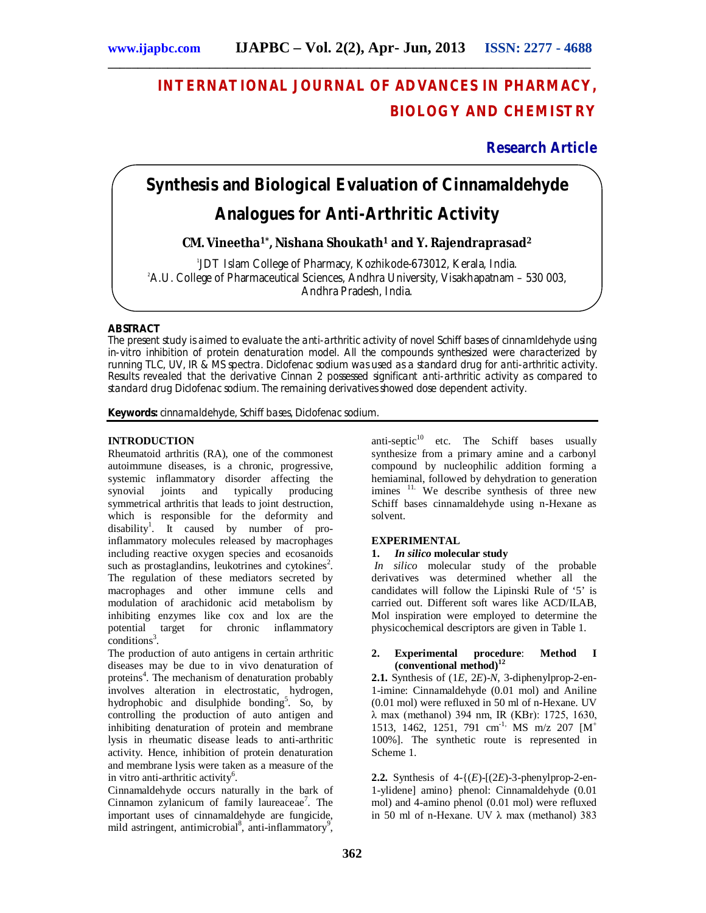# **INTERNATIONAL JOURNAL OF ADVANCES IN PHARMACY, BIOLOGY AND CHEMISTRY**

**Research Article**

# **Synthesis and Biological Evaluation of Cinnamaldehyde Analogues for Anti-Arthritic Activity**

**\_\_\_\_\_\_\_\_\_\_\_\_\_\_\_\_\_\_\_\_\_\_\_\_\_\_\_\_\_\_\_\_\_\_\_\_\_\_\_\_\_\_\_\_\_\_\_\_\_\_\_\_\_\_\_\_\_\_\_\_\_\_\_\_\_\_\_\_\_\_\_\_\_\_\_\_\_\_\_\_\_**

**CM. Vineetha1\*, Nishana Shoukath<sup>1</sup> and Y. Rajendraprasad<sup>2</sup>**

1 JDT Islam College of Pharmacy, Kozhikode-673012, Kerala, India. <sup>2</sup>A.U. College of Pharmaceutical Sciences, Andhra University, Visakhapatnam – 530 003, Andhra Pradesh, India.

## **ABSTRACT**

The present study is aimed to evaluate the anti-arthritic activity of novel Schiff bases of cinnamldehyde using in-vitro inhibition of protein denaturation model. All the compounds synthesized were characterized by running TLC, UV, IR & MS spectra. Diclofenac sodium was used as a standard drug for anti-arthritic activity. Results revealed that the derivative Cinnan 2 possessed significant anti-arthritic activity as compared to standard drug Diclofenac sodium. The remaining derivatives showed dose dependent activity.

**Keywords:** cinnamaldehyde, Schiff bases, Diclofenac sodium.

## **INTRODUCTION**

Rheumatoid arthritis (RA), one of the commonest autoimmune diseases, is a chronic, progressive, systemic inflammatory disorder affecting the<br>synovial joints and typically producing synovial joints and typically producing symmetrical arthritis that leads to joint destruction, which is responsible for the deformity and disability<sup>1</sup>. It caused by number of proinflammatory molecules released by macrophages including reactive oxygen species and ecosanoids such as prostaglandins, leukotrines and cytokines<sup>2</sup>. The regulation of these mediators secreted by macrophages and other immune cells and modulation of arachidonic acid metabolism by inhibiting enzymes like cox and lox are the potential target for chronic inflammatory  $conditions<sup>3</sup>$ .

The production of auto antigens in certain arthritic diseases may be due to in vivo denaturation of proteins<sup>4</sup>. The mechanism of denaturation probably involves alteration in electrostatic, hydrogen, hydrophobic and disulphide bonding<sup>5</sup>. So, by controlling the production of auto antigen and inhibiting denaturation of protein and membrane lysis in rheumatic disease leads to anti-arthritic activity. Hence, inhibition of protein denaturation and membrane lysis were taken as a measure of the in vitro anti-arthritic activity<sup>6</sup>.

Cinnamaldehyde occurs naturally in the bark of Cinnamon zylanicum of family laureaceae<sup>7</sup>. The important uses of cinnamaldehyde are fungicide, mild astringent, antimicrobial<sup>8</sup>, anti-inflammatory<sup>9</sup>,

anti-septic $10$  etc. The Schiff bases usually synthesize from a primary amine and a carbonyl compound by nucleophilic addition forming a hemiaminal, followed by dehydration to generation imines <sup>11.</sup> We describe synthesis of three new Schiff bases cinnamaldehyde using n-Hexane as solvent.

# **EXPERIMENTAL**

## **1.** *In silico* **molecular study**

*In silico* molecular study of the probable derivatives was determined whether all the candidates will follow the Lipinski Rule of '5' is carried out. Different soft wares like ACD/ILAB, Mol inspiration were employed to determine the physicochemical descriptors are given in Table 1.

### **2. Experimental procedure**: **Method I (conventional method)<sup>12</sup>**

**2.1.** Synthesis of (1*E*, 2*E*)-*N*, 3-diphenylprop-2-en-1-imine: Cinnamaldehyde (0.01 mol) and Aniline (0.01 mol) were refluxed in 50 ml of n-Hexane. UV λ max (methanol) 394 nm, IR (KBr): 1725, 1630, 1513, 1462, 1251, 791 cm<sup>-1,</sup> MS m/z 207  $[M^+$ 100%]. The synthetic route is represented in Scheme 1.

**2.2.** Synthesis of  $4-(E)-(2E)-3$ -phenylprop-2-en-1-ylidene] amino} phenol: Cinnamaldehyde (0.01 mol) and 4-amino phenol (0.01 mol) were refluxed in 50 ml of n-Hexane. UV λ max (methanol) 383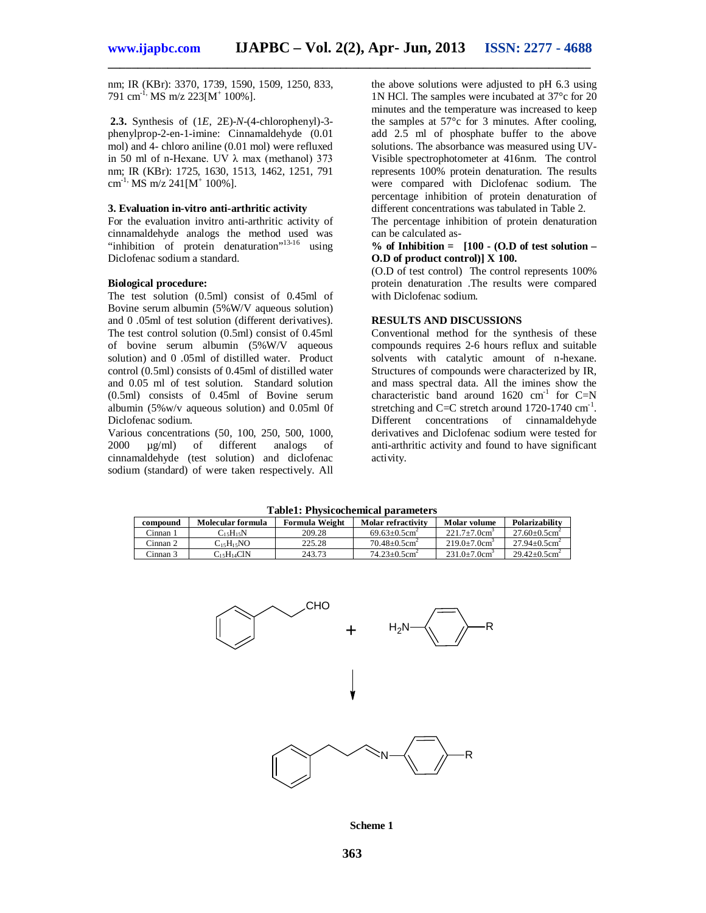**\_\_\_\_\_\_\_\_\_\_\_\_\_\_\_\_\_\_\_\_\_\_\_\_\_\_\_\_\_\_\_\_\_\_\_\_\_\_\_\_\_\_\_\_\_\_\_\_\_\_\_\_\_\_\_\_\_\_\_\_\_\_\_\_\_\_\_\_\_\_\_\_\_\_\_\_\_\_\_\_\_**

nm; IR (KBr): 3370, 1739, 1590, 1509, 1250, 833, 791 cm<sup>-1,</sup> MS m/z 223[M<sup>+</sup> 100%].

**2.3.** Synthesis of (1*E*, 2E)-*N*-(4-chlorophenyl)-3 phenylprop-2-en-1-imine: Cinnamaldehyde (0.01 mol) and 4- chloro aniline (0.01 mol) were refluxed in 50 ml of n-Hexane. UV λ max (methanol) 373 nm; IR (KBr): 1725, 1630, 1513, 1462, 1251, 791  $\text{cm}^{1}$ , MS m/z 241[M<sup>+</sup> 100%].

### **3. Evaluation in-vitro anti-arthritic activity**

For the evaluation invitro anti-arthritic activity of cinnamaldehyde analogs the method used was "inhibition of protein denaturation"<sup>13-16</sup> using Diclofenac sodium a standard.

#### **Biological procedure:**

The test solution (0.5ml) consist of 0.45ml of Bovine serum albumin (5%W/V aqueous solution) and 0 .05ml of test solution (different derivatives). The test control solution (0.5ml) consist of 0.45ml of bovine serum albumin (5%W/V aqueous solution) and 0 .05ml of distilled water. Product control (0.5ml) consists of 0.45ml of distilled water and 0.05 ml of test solution. Standard solution (0.5ml) consists of 0.45ml of Bovine serum albumin (5%w/v aqueous solution) and 0.05ml 0f Diclofenac sodium.

Various concentrations (50, 100, 250, 500, 1000, 2000 µg/ml) of different analogs of cinnamaldehyde (test solution) and diclofenac sodium (standard) of were taken respectively. All the above solutions were adjusted to pH 6.3 using 1N HCl. The samples were incubated at 37°c for 20 minutes and the temperature was increased to keep the samples at 57°c for 3 minutes. After cooling, add 2.5 ml of phosphate buffer to the above solutions. The absorbance was measured using UV-Visible spectrophotometer at 416nm. The control represents 100% protein denaturation. The results were compared with Diclofenac sodium. The percentage inhibition of protein denaturation of different concentrations was tabulated in Table 2.

The percentage inhibition of protein denaturation can be calculated as-

### **% of Inhibition = [100 - (O.D of test solution – O.D of product control)] X 100.**

(O.D of test control) The control represents 100% protein denaturation .The results were compared with Diclofenac sodium.

#### **RESULTS AND DISCUSSIONS**

Conventional method for the synthesis of these compounds requires 2-6 hours reflux and suitable solvents with catalytic amount of n-hexane. Structures of compounds were characterized by IR, and mass spectral data. All the imines show the characteristic band around  $1620 \text{ cm}^{-1}$  for C=N stretching and C=C stretch around  $1720-1740$  cm<sup>-1</sup>. Different concentrations of cinnamaldehyde derivatives and Diclofenac sodium were tested for anti-arthritic activity and found to have significant activity.

| Table 1, 1 hysicochemical parameters |                                           |                |                               |                |                               |  |  |  |  |
|--------------------------------------|-------------------------------------------|----------------|-------------------------------|----------------|-------------------------------|--|--|--|--|
| compound                             | Molecular formula                         | Formula Weight | Molar refractivity            | Molar volume   | Polarizability                |  |  |  |  |
| Cinnan 1                             | $C_1$ <sub>5</sub> $H_1$ <sub>5</sub> $N$ | 209.28         | $69.63+0.5cm2$                | $221.7+7.0cm3$ | $27.60 + 0.5$ cm <sup>2</sup> |  |  |  |  |
| Cinnan 2                             | $C_{15}H_{15}NO$                          | 225.28         | $70.48 + 0.5$ cm <sup>2</sup> | $219.0+7.0cm3$ | $27.94 + 0.5$ cm <sup>2</sup> |  |  |  |  |
| Cinnan 3                             | C <sub>15</sub> H <sub>14</sub> ClN       | 243.73         | $74.23 + 0.5$ cm <sup>2</sup> | $231.0+7.0cm3$ | $29.42 + 0.5$ cm <sup>2</sup> |  |  |  |  |

**Table1: Physicochemical parameters**